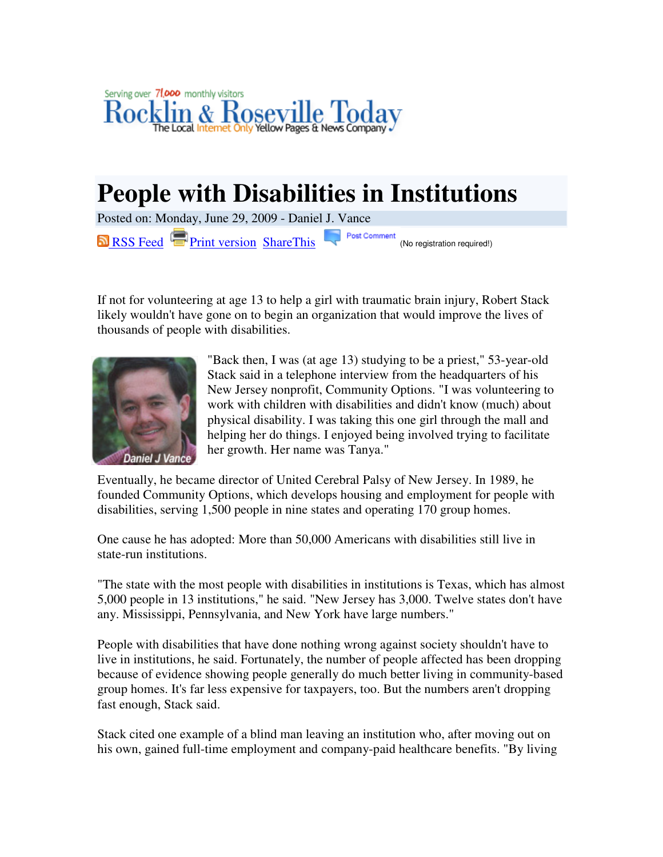

## **People with Disabilities in Institutions**

Posted on: Monday, June 29, 2009 - Daniel J. Vance RSS Feed Print version ShareThis **Post Comment** (No registration required!)

If not for volunteering at age 13 to help a girl with traumatic brain injury, Robert Stack likely wouldn't have gone on to begin an organization that would improve the lives of thousands of people with disabilities.



"Back then, I was (at age 13) studying to be a priest," 53-year-old Stack said in a telephone interview from the headquarters of his New Jersey nonprofit, Community Options. "I was volunteering to work with children with disabilities and didn't know (much) about physical disability. I was taking this one girl through the mall and helping her do things. I enjoyed being involved trying to facilitate her growth. Her name was Tanya."

Eventually, he became director of United Cerebral Palsy of New Jersey. In 1989, he founded Community Options, which develops housing and employment for people with disabilities, serving 1,500 people in nine states and operating 170 group homes.

One cause he has adopted: More than 50,000 Americans with disabilities still live in state-run institutions.

"The state with the most people with disabilities in institutions is Texas, which has almost 5,000 people in 13 institutions," he said. "New Jersey has 3,000. Twelve states don't have any. Mississippi, Pennsylvania, and New York have large numbers."

People with disabilities that have done nothing wrong against society shouldn't have to live in institutions, he said. Fortunately, the number of people affected has been dropping because of evidence showing people generally do much better living in community-based group homes. It's far less expensive for taxpayers, too. But the numbers aren't dropping fast enough, Stack said.

Stack cited one example of a blind man leaving an institution who, after moving out on his own, gained full-time employment and company-paid healthcare benefits. "By living